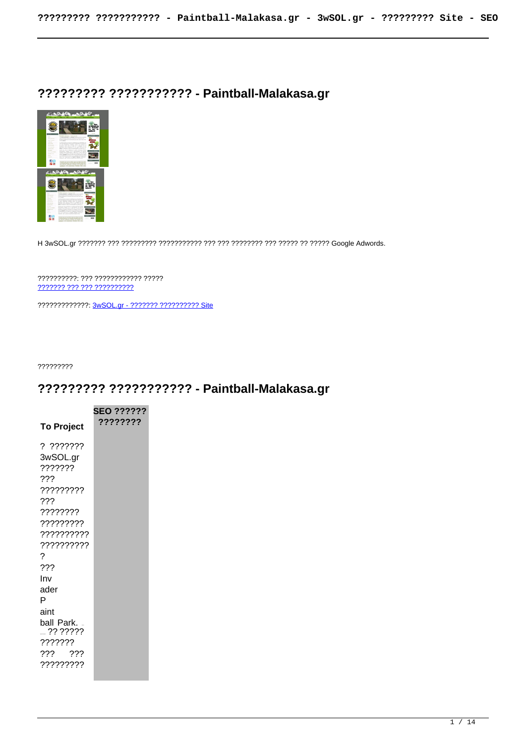## ???????? ??????????? - Paintball-Malakasa.gr



## ?????????? ??? ???????????? ?????

????????????? 3wSOL.gr - ??????? ?????????? Site

?????????

## ????????? ??????????? - Paintball-Malakasa.gr

|                                                                                                                                                                                                 | <b>SEO ??????</b> |
|-------------------------------------------------------------------------------------------------------------------------------------------------------------------------------------------------|-------------------|
| <b>To Project</b>                                                                                                                                                                               | ????????          |
| ? ???????<br>3wSOL.gr<br>???????<br>777<br>?????????<br>777<br>????????<br>777777777<br>??????????<br>7777777777<br>?<br>???<br>Inv<br>ader<br>P<br>aint<br>ball Park.<br>_ ?? ?????<br>??????? |                   |
| ??? ???<br>?????????                                                                                                                                                                            |                   |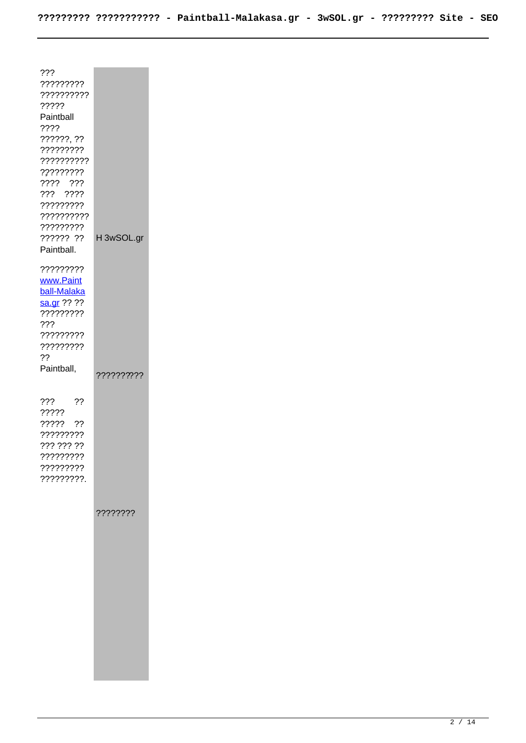| ???<br>?????????<br>??????????<br>?????<br>Paintball<br>????<br>??????, ??<br>?????????<br>??????????<br>?????????<br>???? ???<br>??? ????<br>?????????<br>??????????<br>?????????<br>?????? ??<br>Paintball. | H 3wSOL.gr |  |
|---------------------------------------------------------------------------------------------------------------------------------------------------------------------------------------------------------------|------------|--|
| ?????????<br>www.Paint<br>ball-Malaka<br><u>sa.gr</u> ?? ??<br>?????????<br>???<br>?????????<br>?????????<br>??<br>Paintball,                                                                                 | ?????????? |  |
| ???<br>??<br>?????<br>????? ??<br>?????????<br>??? ??? ??<br>?????????<br>?????????<br>?????????.                                                                                                             |            |  |
|                                                                                                                                                                                                               | ????????   |  |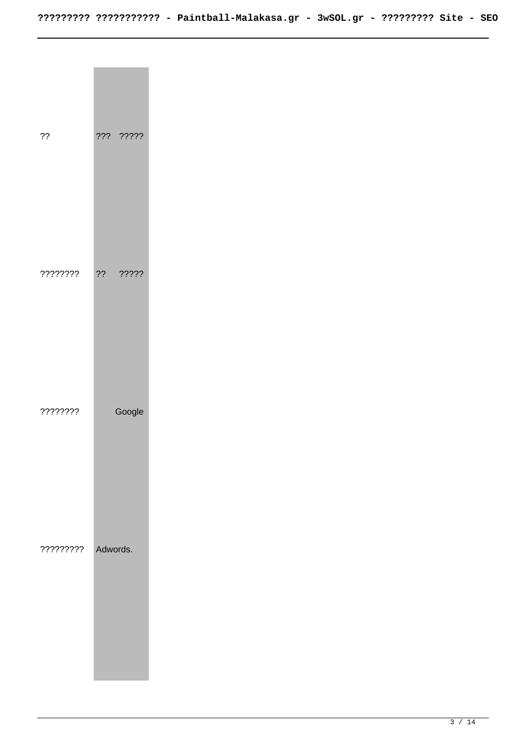| ??        | ??? ?????   |  |
|-----------|-------------|--|
| ????????  | ??<br>????? |  |
| ????????  | Google      |  |
| ????????? | Adwords.    |  |
|           |             |  |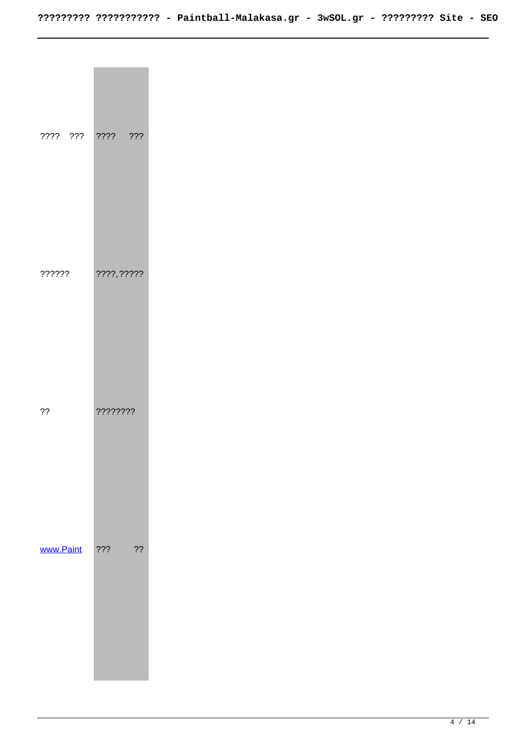| ???? ???  | ???? ???     |  |
|-----------|--------------|--|
| ??????    | ????, ?????  |  |
| ??        | ????????     |  |
| www.Paint | $?$ ??<br>?? |  |
|           |              |  |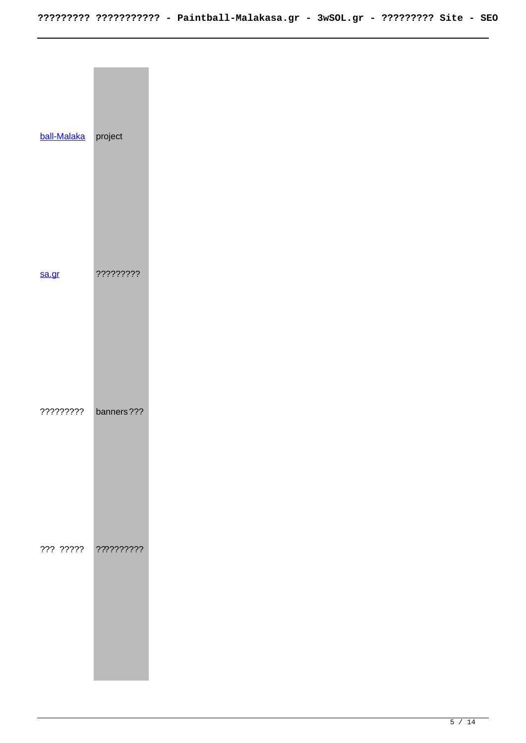| ball-Malaka | project    |  |  |
|-------------|------------|--|--|
| sa.gr       | ?????????  |  |  |
| ?????????   | banners??? |  |  |
| ??? ?????   | ?????????? |  |  |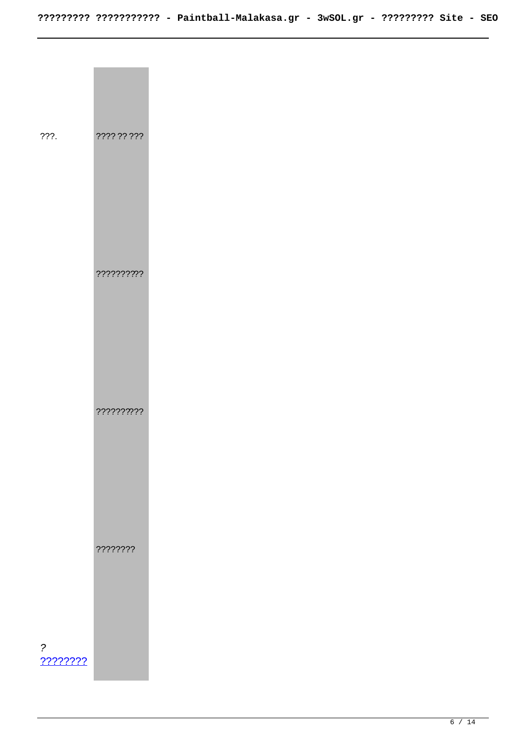???? ?? ???  $???.$ ?????????? ?????????? ????????  $\tilde{?}$ ????????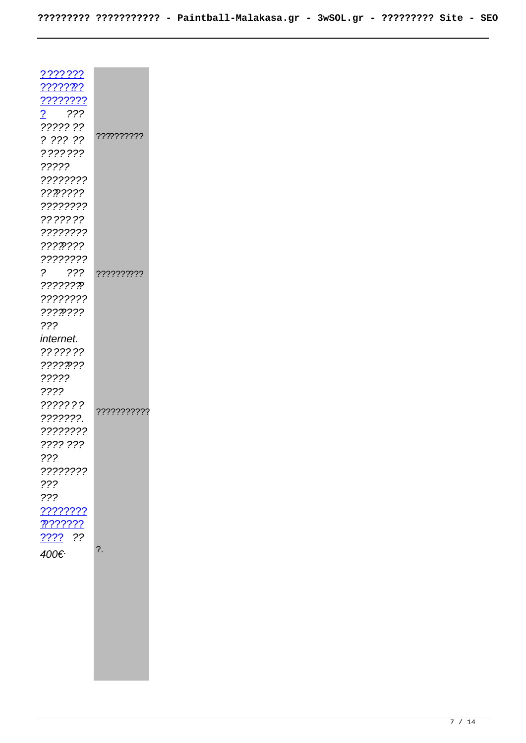| <u>???????</u><br>????????<br><u>????????</u>   |             |
|-------------------------------------------------|-------------|
| ???<br>$\overline{2}$                           |             |
| ????? ??                                        |             |
| ? ? ? ? ? ?                                     | ??????????  |
| ???????                                         |             |
| ?????                                           |             |
| ????????                                        |             |
| ???????                                         |             |
| ????????                                        |             |
| ???????                                         |             |
| ????????                                        |             |
| ???????                                         |             |
| ????????                                        |             |
| 2<br>???                                        | ??????????  |
| ????????                                        |             |
| ????????                                        |             |
| ???????                                         |             |
| 222                                             |             |
| internet.                                       |             |
| ???????                                         |             |
| ???????                                         |             |
| ?????                                           |             |
| ????                                            |             |
| ???????                                         |             |
| ???????.                                        | 77777777777 |
| ????????                                        |             |
| ???? ???                                        |             |
| 222                                             |             |
| ????????                                        |             |
| ???                                             |             |
| ???                                             |             |
| <u>????????</u>                                 |             |
|                                                 |             |
| $??\,\!\!\begin{array}{cc} ?? \ ?? \end{array}$ |             |
| 400€                                            | ?.          |
|                                                 |             |
|                                                 |             |
|                                                 |             |
|                                                 |             |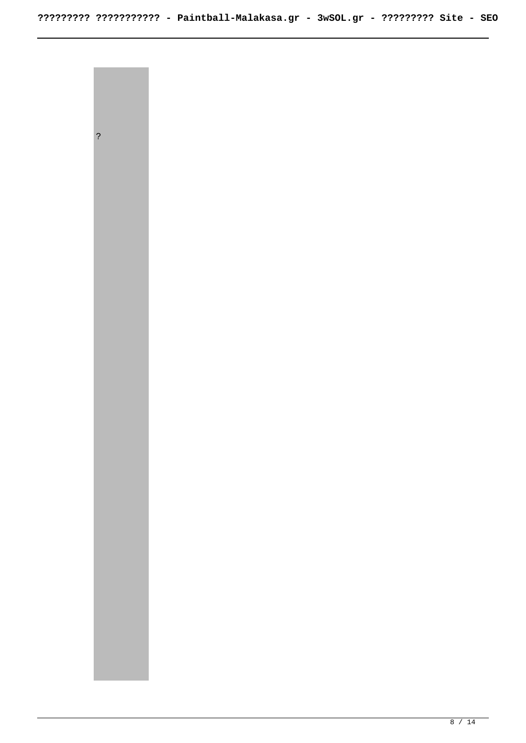?

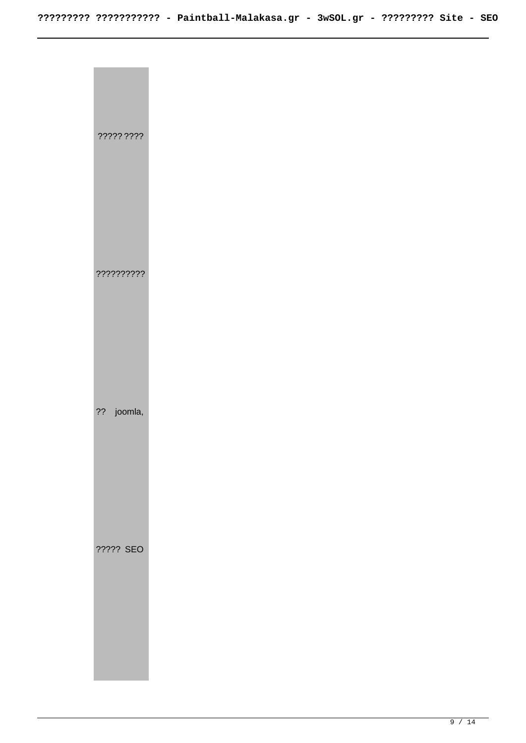| ????? ???? |
|------------|
| ?????????? |
| ?? joomla, |
| ????? SEO  |
|            |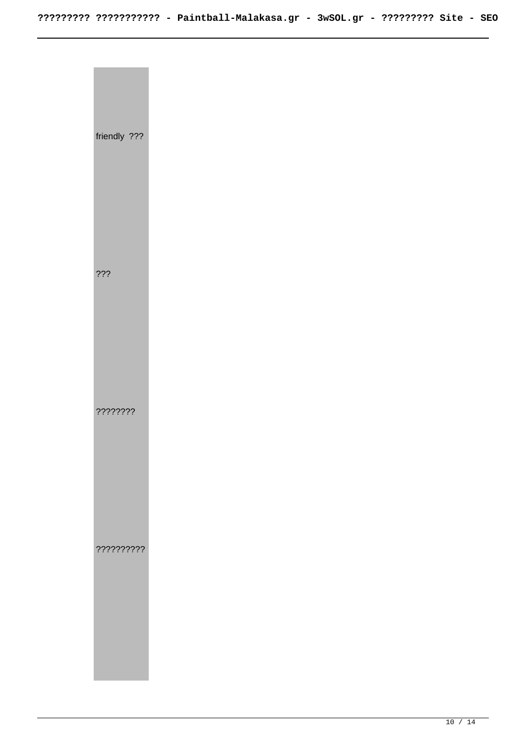| friendly ??? |  |  |  |
|--------------|--|--|--|
| ???          |  |  |  |
| ????????     |  |  |  |
| ??????????   |  |  |  |
|              |  |  |  |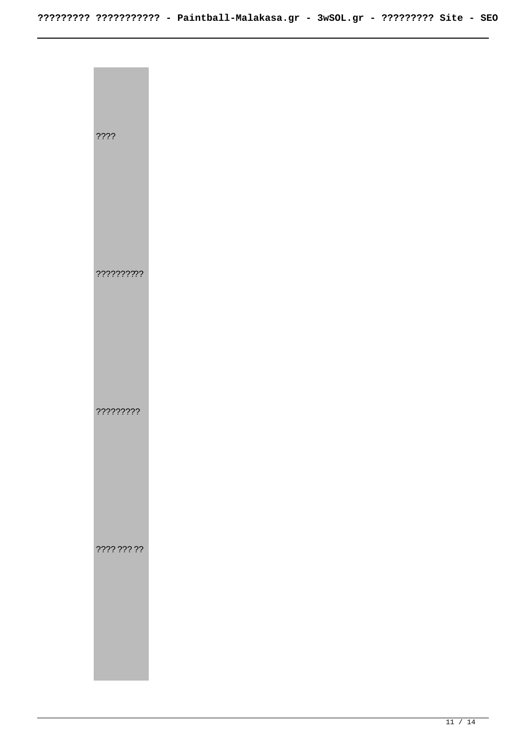| ????        |  |  |  |
|-------------|--|--|--|
| ??????????  |  |  |  |
| ?????????   |  |  |  |
| ???? ??? ?? |  |  |  |
|             |  |  |  |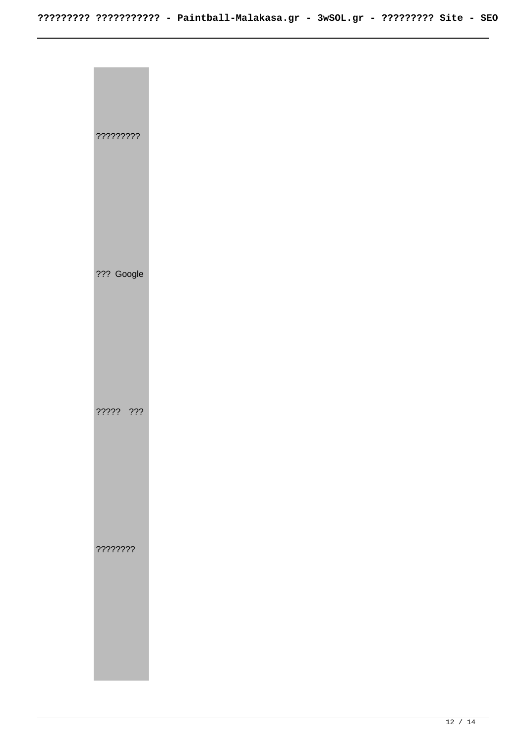| ?????????  |  |  |
|------------|--|--|
| ??? Google |  |  |
| ????? ???  |  |  |
| ????????   |  |  |
|            |  |  |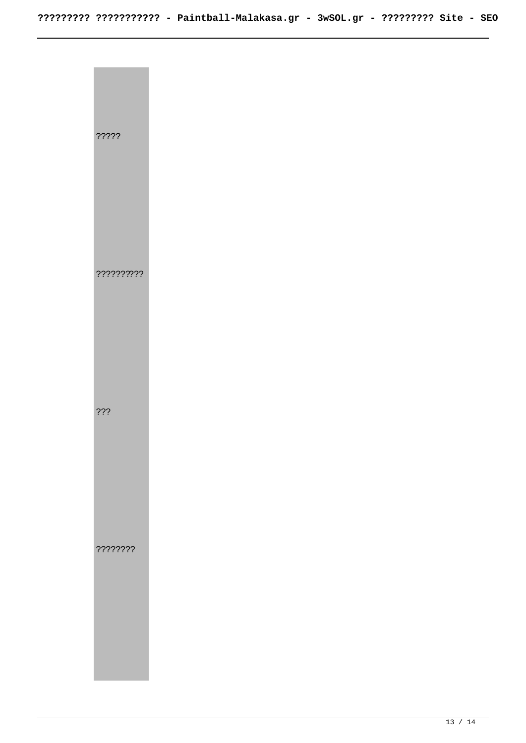| ?????      |  |  |  |
|------------|--|--|--|
| ?????????? |  |  |  |
| $?$ ??     |  |  |  |
| ????????   |  |  |  |
|            |  |  |  |